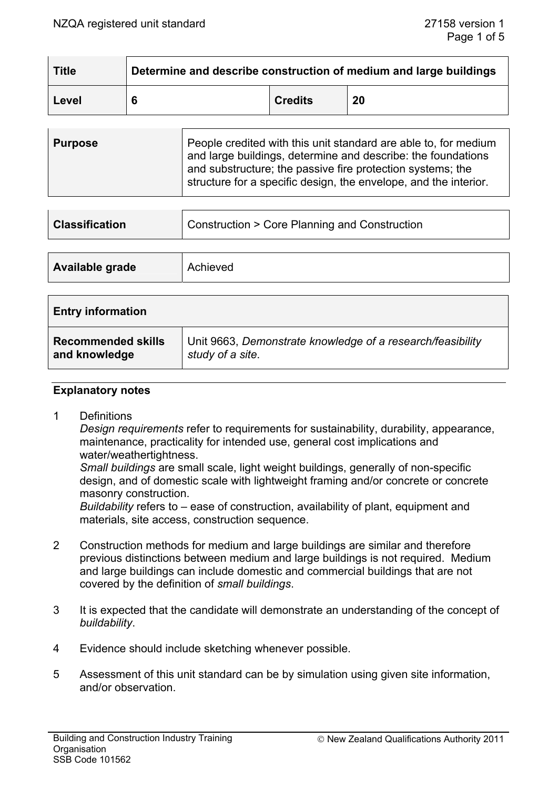| <b>Title</b> | Determine and describe construction of medium and large buildings |                |    |
|--------------|-------------------------------------------------------------------|----------------|----|
| Level        |                                                                   | <b>Credits</b> | 20 |

| <b>Purpose</b> | People credited with this unit standard are able to, for medium<br>and large buildings, determine and describe: the foundations<br>and substructure; the passive fire protection systems; the<br>structure for a specific design, the envelope, and the interior. |
|----------------|-------------------------------------------------------------------------------------------------------------------------------------------------------------------------------------------------------------------------------------------------------------------|
|                |                                                                                                                                                                                                                                                                   |

| <b>Classification</b> | Construction > Core Planning and Construction |
|-----------------------|-----------------------------------------------|
|                       |                                               |

| Available grade | Achieved |
|-----------------|----------|
|                 |          |

| <b>Entry information</b>  |                                                            |  |
|---------------------------|------------------------------------------------------------|--|
| <b>Recommended skills</b> | Unit 9663, Demonstrate knowledge of a research/feasibility |  |
| and knowledge             | study of a site.                                           |  |

#### **Explanatory notes**

1 Definitions

*Design requirements* refer to requirements for sustainability, durability, appearance, maintenance, practicality for intended use, general cost implications and water/weathertightness.

 *Small buildings* are small scale, light weight buildings, generally of non-specific design, and of domestic scale with lightweight framing and/or concrete or concrete masonry construction.

 *Buildability* refers to – ease of construction, availability of plant, equipment and materials, site access, construction sequence.

- 2 Construction methods for medium and large buildings are similar and therefore previous distinctions between medium and large buildings is not required. Medium and large buildings can include domestic and commercial buildings that are not covered by the definition of *small buildings*.
- 3 It is expected that the candidate will demonstrate an understanding of the concept of *buildability*.
- 4 Evidence should include sketching whenever possible.
- 5 Assessment of this unit standard can be by simulation using given site information, and/or observation.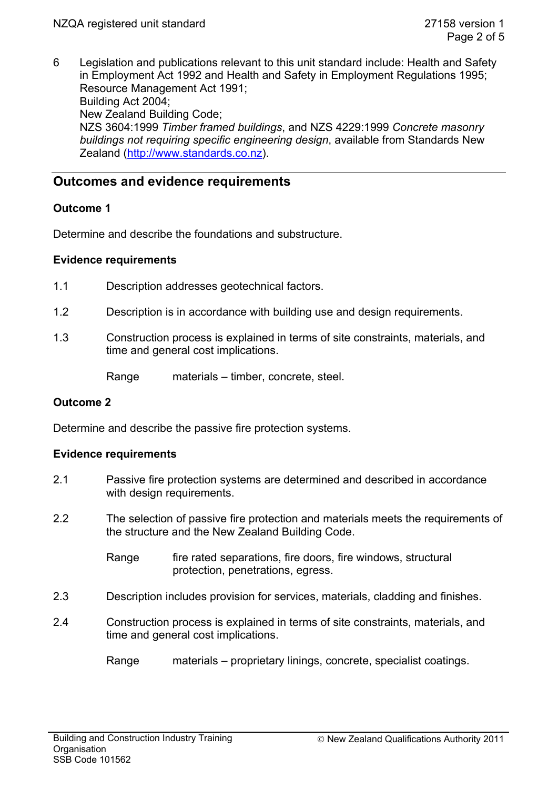6 Legislation and publications relevant to this unit standard include: Health and Safety in Employment Act 1992 and Health and Safety in Employment Regulations 1995; Resource Management Act 1991; Building Act 2004; New Zealand Building Code; NZS 3604:1999 *Timber framed buildings*, and NZS 4229:1999 *Concrete masonry buildings not requiring specific engineering design*, available from Standards New Zealand (http://www.standards.co.nz).

# **Outcomes and evidence requirements**

### **Outcome 1**

Determine and describe the foundations and substructure.

### **Evidence requirements**

- 1.1 Description addresses geotechnical factors.
- 1.2 Description is in accordance with building use and design requirements.
- 1.3 Construction process is explained in terms of site constraints, materials, and time and general cost implications.

Range materials – timber, concrete, steel.

### **Outcome 2**

Determine and describe the passive fire protection systems.

### **Evidence requirements**

- 2.1 Passive fire protection systems are determined and described in accordance with design requirements.
- 2.2 The selection of passive fire protection and materials meets the requirements of the structure and the New Zealand Building Code.
	- Range fire rated separations, fire doors, fire windows, structural protection, penetrations, egress.
- 2.3 Description includes provision for services, materials, cladding and finishes.
- 2.4 Construction process is explained in terms of site constraints, materials, and time and general cost implications.
	- Range materials proprietary linings, concrete, specialist coatings.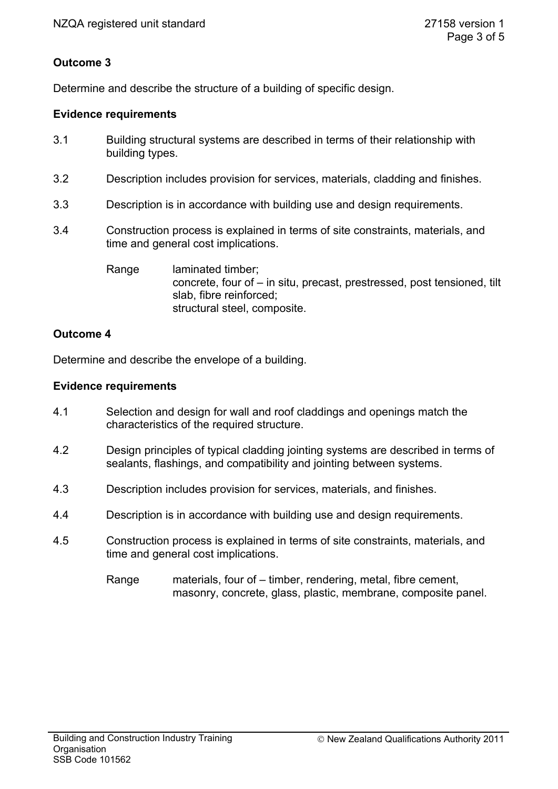# **Outcome 3**

Determine and describe the structure of a building of specific design.

### **Evidence requirements**

- 3.1 Building structural systems are described in terms of their relationship with building types.
- 3.2 Description includes provision for services, materials, cladding and finishes.
- 3.3 Description is in accordance with building use and design requirements.
- 3.4 Construction process is explained in terms of site constraints, materials, and time and general cost implications.
	- Range laminated timber; concrete, four of – in situ, precast, prestressed, post tensioned, tilt slab, fibre reinforced; structural steel, composite.

# **Outcome 4**

Determine and describe the envelope of a building.

### **Evidence requirements**

- 4.1 Selection and design for wall and roof claddings and openings match the characteristics of the required structure.
- 4.2 Design principles of typical cladding jointing systems are described in terms of sealants, flashings, and compatibility and jointing between systems.
- 4.3 Description includes provision for services, materials, and finishes.
- 4.4 Description is in accordance with building use and design requirements.
- 4.5 Construction process is explained in terms of site constraints, materials, and time and general cost implications.
	- Range materials, four of timber, rendering, metal, fibre cement, masonry, concrete, glass, plastic, membrane, composite panel.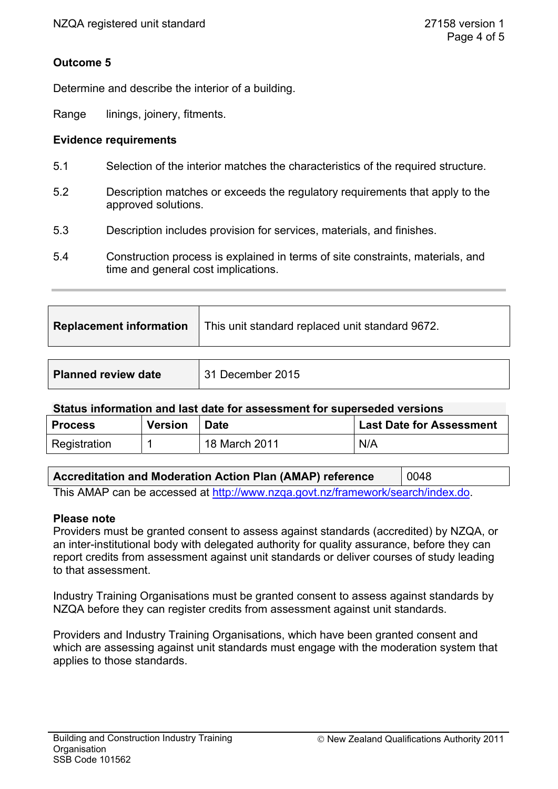# **Outcome 5**

Determine and describe the interior of a building.

Range linings, joinery, fitments.

### **Evidence requirements**

- 5.1 Selection of the interior matches the characteristics of the required structure.
- 5.2 Description matches or exceeds the regulatory requirements that apply to the approved solutions.
- 5.3 Description includes provision for services, materials, and finishes.
- 5.4 Construction process is explained in terms of site constraints, materials, and time and general cost implications.

| <b>Replacement information</b>   This unit standard replaced unit standard 9672. |
|----------------------------------------------------------------------------------|
|                                                                                  |

| <b>Planned review date</b> | 31 December 2015 |
|----------------------------|------------------|
|                            |                  |

### **Status information and last date for assessment for superseded versions**

| <b>Process</b> | <b>Version</b> | <b>Date</b>   | <b>Last Date for Assessment</b> |
|----------------|----------------|---------------|---------------------------------|
| Registration   |                | 18 March 2011 | N/A                             |

| <b>Accreditation and Moderation Action Plan (AMAP) reference</b> | 0048 |
|------------------------------------------------------------------|------|
|------------------------------------------------------------------|------|

This AMAP can be accessed at http://www.nzqa.govt.nz/framework/search/index.do.

### **Please note**

Providers must be granted consent to assess against standards (accredited) by NZQA, or an inter-institutional body with delegated authority for quality assurance, before they can report credits from assessment against unit standards or deliver courses of study leading to that assessment.

Industry Training Organisations must be granted consent to assess against standards by NZQA before they can register credits from assessment against unit standards.

Providers and Industry Training Organisations, which have been granted consent and which are assessing against unit standards must engage with the moderation system that applies to those standards.